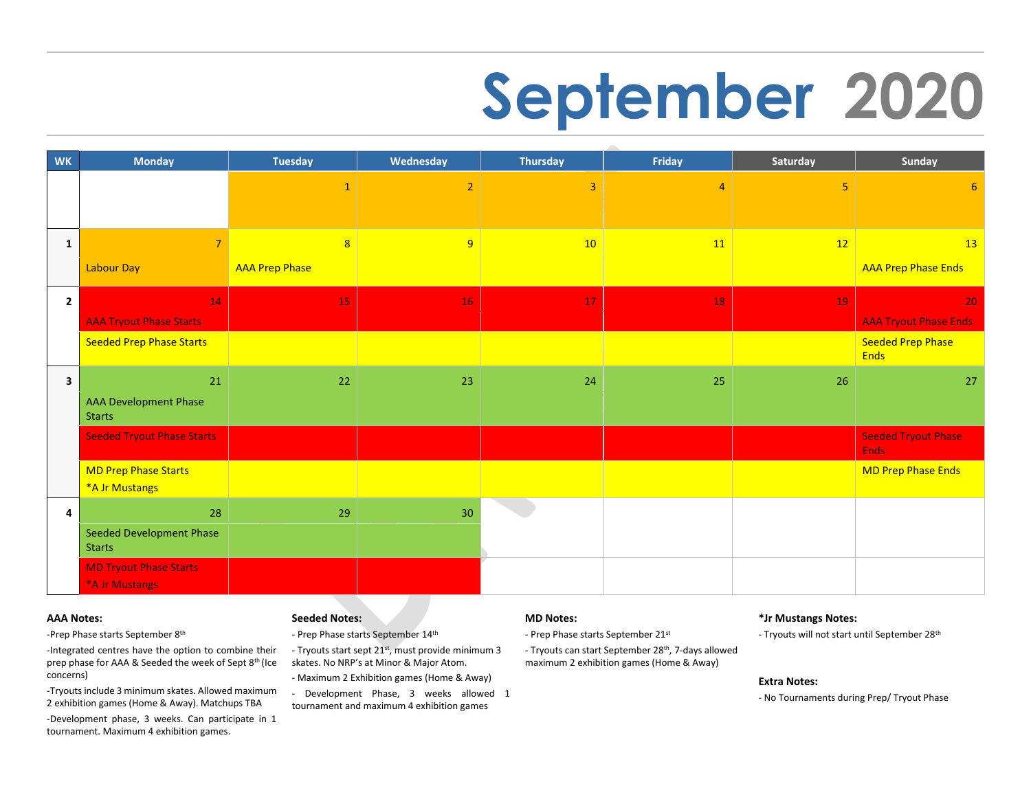# **September 2020**

| <b>WK</b>               | <b>Monday</b>                                                                           | <b>Tuesday</b>                          | Wednesday      | <b>Thursday</b> | Friday         | Saturday | Sunday                                                                                     |
|-------------------------|-----------------------------------------------------------------------------------------|-----------------------------------------|----------------|-----------------|----------------|----------|--------------------------------------------------------------------------------------------|
|                         |                                                                                         | $\mathbf{1}$                            | $\overline{2}$ | $\overline{3}$  | $\overline{4}$ | 5        | 6                                                                                          |
| $\mathbf{1}$            | $\overline{7}$<br>Labour Day                                                            | $\overline{8}$<br><b>AAA Prep Phase</b> | 9              | 10              | 11             | 12       | 13<br><b>AAA Prep Phase Ends</b>                                                           |
| $\mathbf{2}$            | 14<br><b>AAA Tryout Phase Starts</b><br><b>Seeded Prep Phase Starts</b>                 | 15                                      | 16             | 17              | 18             | 19       | 20 <sub>1</sub><br><b>AAA Tryout Phase Ends</b><br><b>Seeded Prep Phase</b><br><b>Ends</b> |
| $\overline{\mathbf{3}}$ | 21<br><b>AAA Development Phase</b><br><b>Starts</b>                                     | 22                                      | 23             | 24              | 25             | 26       | 27                                                                                         |
|                         | <b>Seeded Tryout Phase Starts</b>                                                       |                                         |                |                 |                |          | <b>Seeded Tryout Phase</b><br><b>Ends</b>                                                  |
|                         | <b>MD Prep Phase Starts</b><br>*A Jr Mustangs                                           |                                         |                |                 |                |          | MD Prep Phase Ends                                                                         |
| 4                       | 28<br><b>Seeded Development Phase</b><br><b>Starts</b><br><b>MD Tryout Phase Starts</b> | 29                                      | 30             |                 |                |          |                                                                                            |
|                         | *A Jr Mustangs                                                                          |                                         |                |                 |                |          |                                                                                            |

#### **AAA Notes:**

-Prep Phase starts September 8<sup>th</sup>

-Integrated centres have the option to combine their prep phase for AAA & Seeded the week of Sept 8<sup>th</sup> (Ice concerns)

-Tryouts include 3 minimum skates. Allowed maximum 2 exhibition games (Home & Away). Matchups TBA

-Development phase, 3 weeks. Can participate in 1 tournament. Maximum 4 exhibition games.

### **Seeded Notes:**

- Prep Phase starts September 14<sup>th</sup>
- Tryouts start sept 21<sup>st</sup>, must provide minimum 3 skates. No NRP's at Minor & Major Atom.
- Maximum 2 Exhibition games (Home & Away)
- Development Phase, 3 weeks allowed 1 tournament and maximum 4 exhibition games

### **MD Notes:**

- Prep Phase starts September 21st
- Tryouts can start September 28<sup>th</sup>, 7-days allowed maximum 2 exhibition games (Home & Away)

#### **\*Jr Mustangs Notes:**

- Tryouts will not start until September 28<sup>th</sup>

#### **Extra Notes:**

- No Tournaments during Prep/ Tryout Phase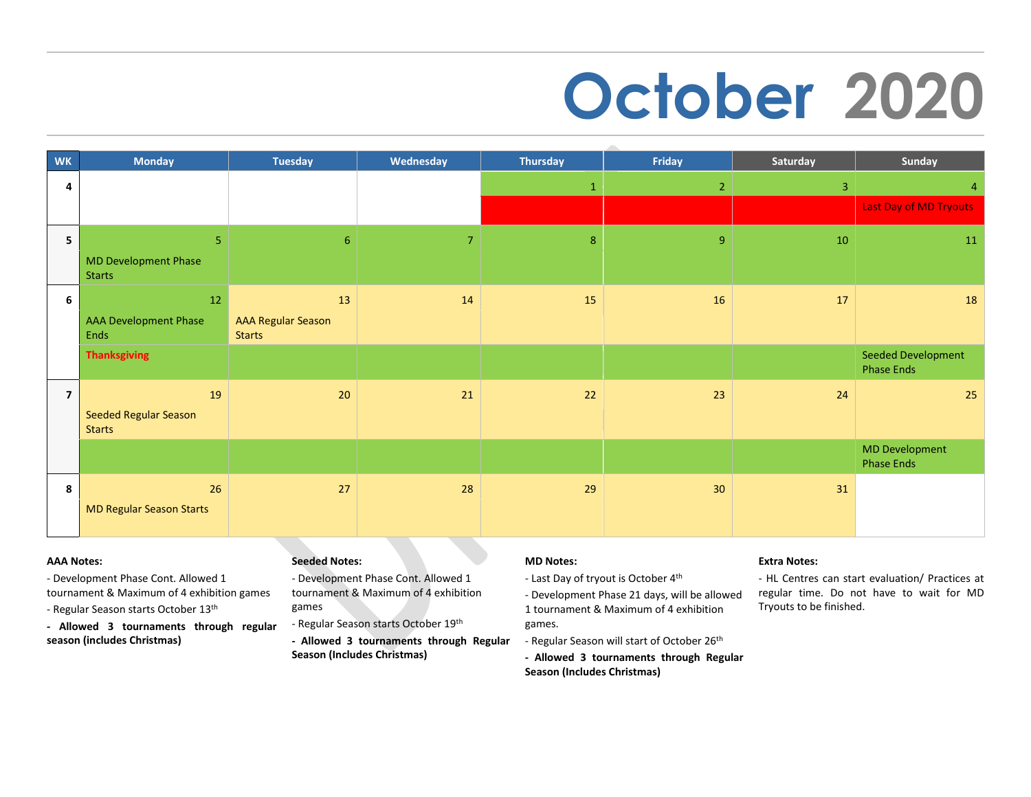# **October 2020**

| <b>WK</b>      | <b>Monday</b>                                | <b>Tuesday</b>                             | Wednesday      | <b>Thursday</b> | Friday          | Saturday | Sunday                                     |
|----------------|----------------------------------------------|--------------------------------------------|----------------|-----------------|-----------------|----------|--------------------------------------------|
| 4              |                                              |                                            |                | $\mathbf{1}$    | $\overline{2}$  | 3        | 4                                          |
|                |                                              |                                            |                |                 |                 |          | Last Day of MD Tryouts                     |
| 5              | 5                                            | 6                                          | $\overline{7}$ | 8               | 9               | 10       | 11                                         |
|                | <b>MD Development Phase</b><br><b>Starts</b> |                                            |                |                 |                 |          |                                            |
| 6              | 12                                           | 13                                         | 14             | 15              | 16              | 17       | 18                                         |
|                | <b>AAA Development Phase</b><br>Ends         | <b>AAA Regular Season</b><br><b>Starts</b> |                |                 |                 |          |                                            |
|                | <b>Thanksgiving</b>                          |                                            |                |                 |                 |          | Seeded Development<br><b>Phase Ends</b>    |
| $\overline{7}$ | 19                                           | 20                                         | 21             | 22              | 23              | 24       | 25                                         |
|                | Seeded Regular Season<br><b>Starts</b>       |                                            |                |                 |                 |          |                                            |
|                |                                              |                                            |                |                 |                 |          | <b>MD Development</b><br><b>Phase Ends</b> |
| 8              | 26<br><b>MD Regular Season Starts</b>        | 27                                         | 28             | 29              | 30 <sup>°</sup> | 31       |                                            |
|                |                                              |                                            |                |                 |                 |          |                                            |

### **AAA Notes:**

- Development Phase Cont. Allowed 1 tournament & Maximum of 4 exhibition games
- Regular Season starts October 13th
- **- Allowed 3 tournaments through regular season (includes Christmas)**

### **Seeded Notes:**

- Development Phase Cont. Allowed 1 tournament & Maximum of 4 exhibition games
- Regular Season starts October 19th
- **- Allowed 3 tournaments through Regular Season (Includes Christmas)**

### **MD Notes:**

- Last Day of tryout is October 4th
- Development Phase 21 days, will be allowed 1 tournament & Maximum of 4 exhibition games.
- Regular Season will start of October 26<sup>th</sup>
- **- Allowed 3 tournaments through Regular Season (Includes Christmas)**

### **Extra Notes:**

- HL Centres can start evaluation/ Practices at regular time. Do not have to wait for MD Tryouts to be finished.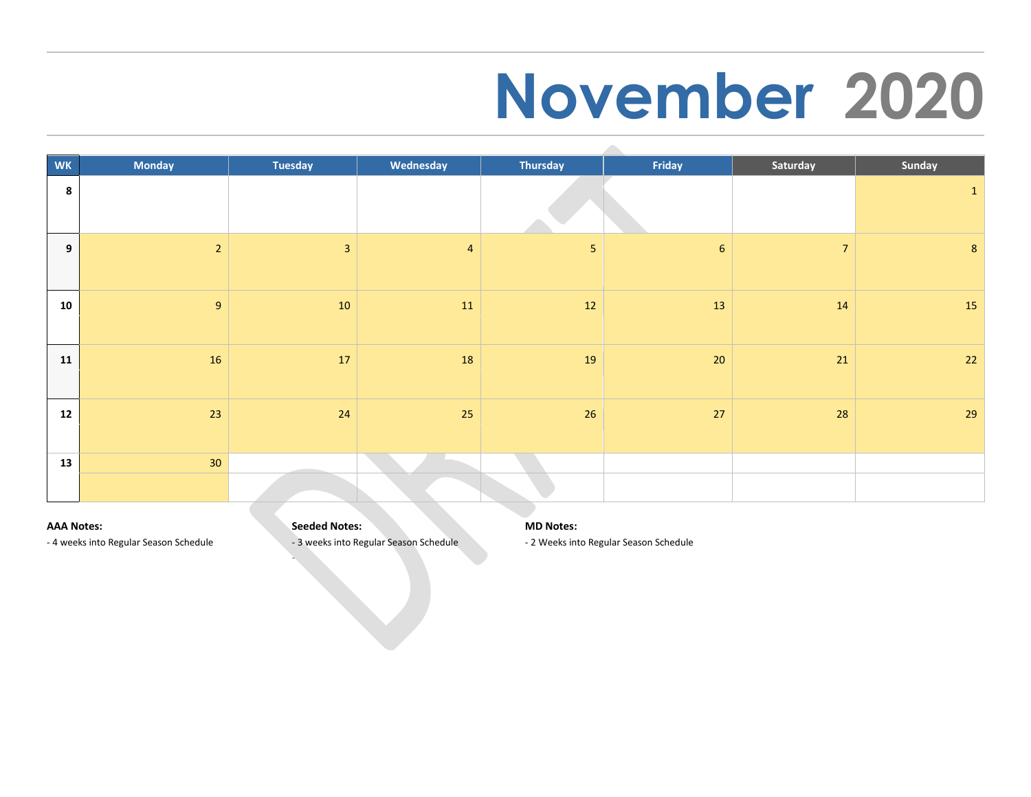### **November 2020**

| <b>WK</b>        | <b>Monday</b>  | <b>Tuesday</b> | Wednesday      | Thursday   | Friday          | Saturday       | Sunday         |
|------------------|----------------|----------------|----------------|------------|-----------------|----------------|----------------|
| $\boldsymbol{8}$ |                |                |                |            |                 |                | $\mathbf{1}$   |
| 9                | $\overline{2}$ | $\overline{3}$ | $\overline{4}$ | $\sqrt{5}$ | $6\overline{6}$ | $\overline{7}$ | $8\phantom{1}$ |
| 10               | 9              | 10             | 11             | 12         | 13              | 14             | <b>15</b>      |
| 11               | 16             | 17             | 18             | 19         | 20              | 21             | 22             |
| 12               | 23             | 24             | 25             | 26         | 27              | 28             | 29             |
| 13               | 30             |                |                |            |                 |                |                |
|                  |                |                |                |            |                 |                |                |

### **AAA Notes:**

**Seeded Notes:** 

-

- 4 weeks into Regular Season Schedule

- 3 weeks into Regular Season Schedule

**MD Notes:** 

- 2 Weeks into Regular Season Schedule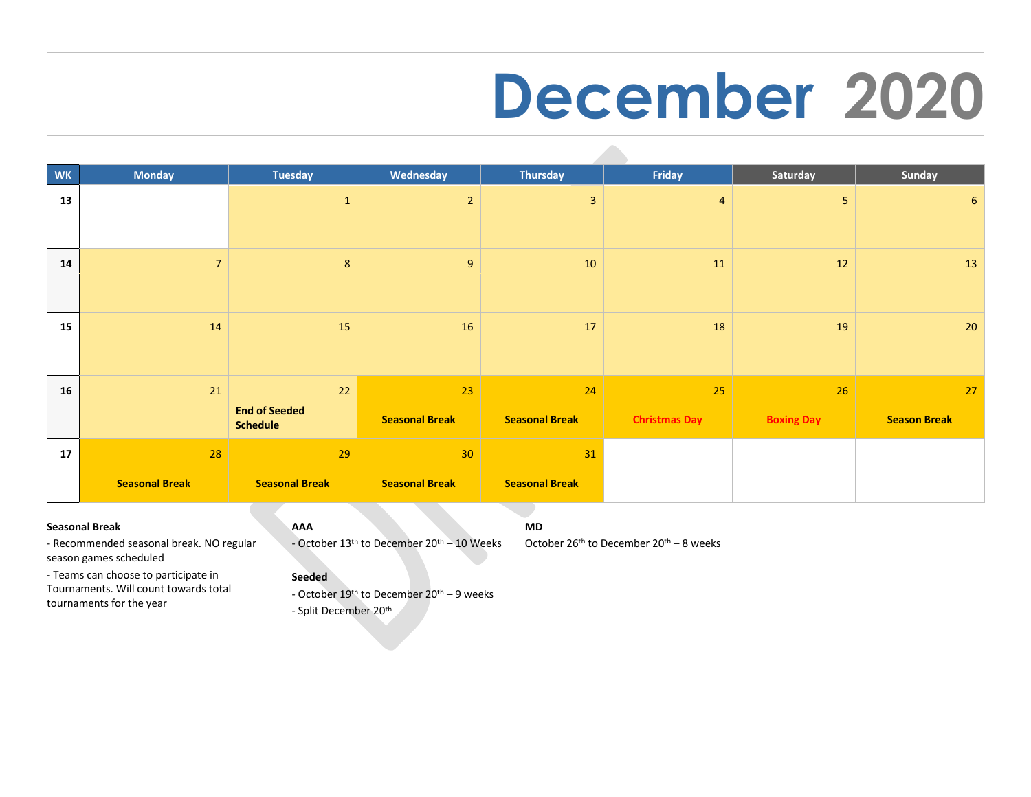### **December 2020**

| <b>WK</b> | <b>Monday</b>         | <b>Tuesday</b>                          | Wednesday             | Thursday              | Friday               | Saturday          | Sunday              |
|-----------|-----------------------|-----------------------------------------|-----------------------|-----------------------|----------------------|-------------------|---------------------|
| 13        |                       | $\mathbf{1}$                            | $\overline{2}$        | 3                     | $\overline{4}$       | 5 <sup>5</sup>    | 6                   |
| 14        | $\overline{7}$        | 8                                       | 9                     | 10                    | 11                   | 12                | 13                  |
| 15        | 14                    | 15                                      | 16                    | 17                    | 18                   | 19                | 20                  |
| 16        | 21                    | 22                                      | 23                    | 24                    | 25                   | 26                | 27                  |
|           |                       | <b>End of Seeded</b><br><b>Schedule</b> | <b>Seasonal Break</b> | <b>Seasonal Break</b> | <b>Christmas Day</b> | <b>Boxing Day</b> | <b>Season Break</b> |
| 17        | 28                    | 29                                      | 30                    | 31                    |                      |                   |                     |
|           | <b>Seasonal Break</b> | <b>Seasonal Break</b>                   | <b>Seasonal Break</b> | <b>Seasonal Break</b> |                      |                   |                     |

### **Seasonal Break**

### **AAA**

- October 13<sup>th</sup> to December 20<sup>th</sup> – 10 Weeks

**MD**

October 26<sup>th</sup> to December 20<sup>th</sup> – 8 weeks

season games scheduled - Teams can choose to participate in Tournaments. Will count towards total

- Recommended seasonal break. NO regular

tournaments for the year

### **Seeded**

- October 19<sup>th</sup> to December 20<sup>th</sup> – 9 weeks

- Split December 20<sup>th</sup>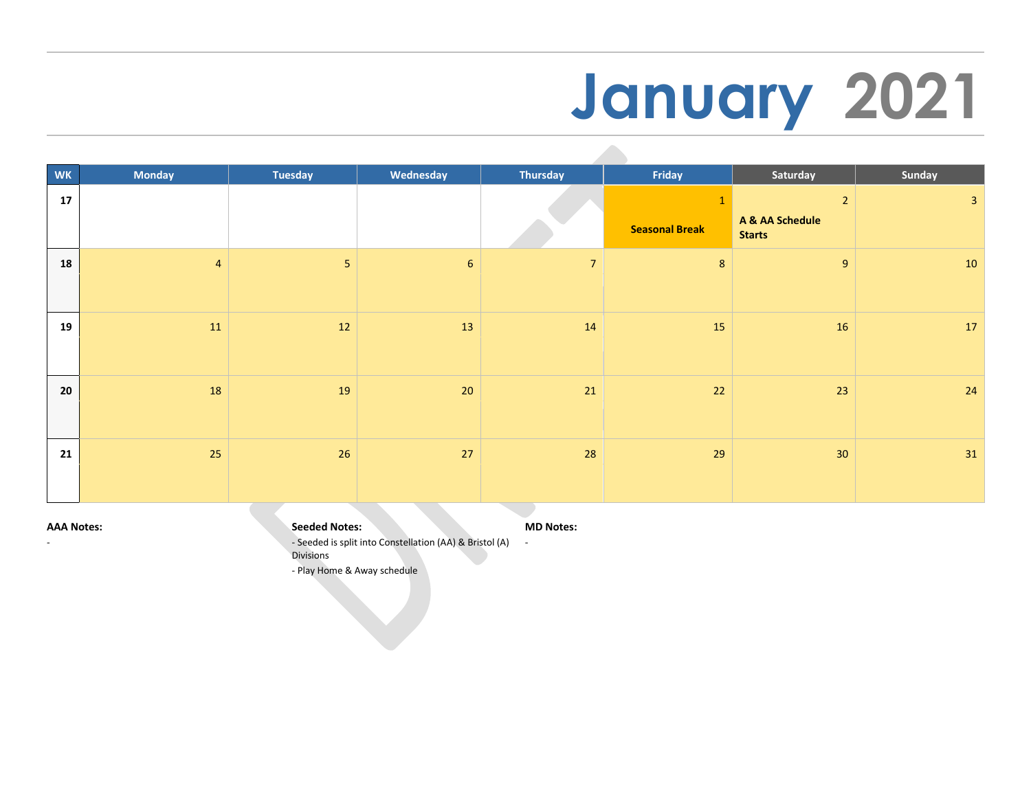# **January 2021**

| WK | <b>Monday</b>  | <b>Tuesday</b> | Wednesday       | <b>Thursday</b> | Friday                | Saturday                                        | Sunday       |
|----|----------------|----------------|-----------------|-----------------|-----------------------|-------------------------------------------------|--------------|
| 17 |                |                |                 |                 | <b>Seasonal Break</b> | $2^{\circ}$<br>A & AA Schedule<br><b>Starts</b> | $\mathbf{3}$ |
| 18 | $\overline{4}$ | 5 <sub>1</sub> | $6\overline{6}$ | $\overline{7}$  | $8\phantom{.}$        | 9 <sup>°</sup>                                  | 10           |
| 19 | 11             | 12             | 13              | 14              | 15                    | 16                                              | 17           |
| 20 | 18             | 19             | 20              | 21              | 22                    | 23                                              | 24           |
| 21 | 25             | 26             | 27              | 28              | 29                    | 30 <sub>o</sub>                                 | 31           |

#### **AAA Notes:**

-

- Seeded is split into Constellation (AA) & Bristol (A) **MD Notes:**  -

Divisions

**Seeded Notes:** 

- Play Home & Away schedule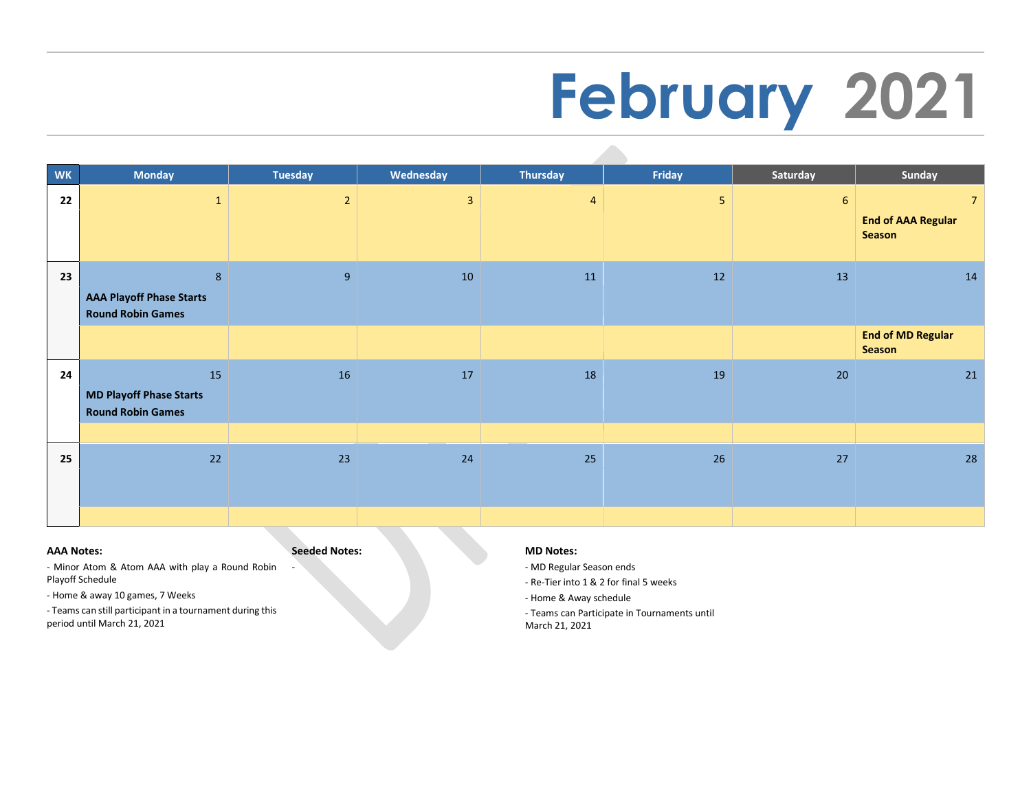# **February 2021**

| <b>WK</b> | <b>Monday</b>                                                          | <b>Tuesday</b> | Wednesday    | Thursday       | Friday         | Saturday | Sunday                                                |
|-----------|------------------------------------------------------------------------|----------------|--------------|----------------|----------------|----------|-------------------------------------------------------|
| 22        | $\mathbf{1}$                                                           | $\overline{2}$ | $\mathbf{3}$ | $\overline{4}$ | 5 <sub>1</sub> | 6        | 7 <sup>7</sup><br><b>End of AAA Regular</b><br>Season |
| 23        | $\bf 8$<br><b>AAA Playoff Phase Starts</b><br><b>Round Robin Games</b> | 9              | 10           | 11             | 12             | 13       | 14                                                    |
|           |                                                                        |                |              |                |                |          | <b>End of MD Regular</b><br><b>Season</b>             |
| 24        | 15<br><b>MD Playoff Phase Starts</b><br><b>Round Robin Games</b>       | 16             | 17           | 18             | 19             | 20       | 21                                                    |
|           |                                                                        |                |              |                |                |          |                                                       |
| 25        | 22                                                                     | 23             | 24           | 25             | 26             | 27       | 28                                                    |
|           |                                                                        |                |              |                |                |          |                                                       |

#### **AAA Notes:**

**Seeded Notes:** 

-

- Minor Atom & Atom AAA with play a Round Robin Playoff Schedule

- Home & away 10 games, 7 Weeks

- Teams can still participant in a tournament during this period until March 21, 2021

#### **MD Notes:**

- MD Regular Season ends

- Re-Tier into 1 & 2 for final 5 weeks

- Home & Away schedule

- Teams can Participate in Tournaments until March 21, 2021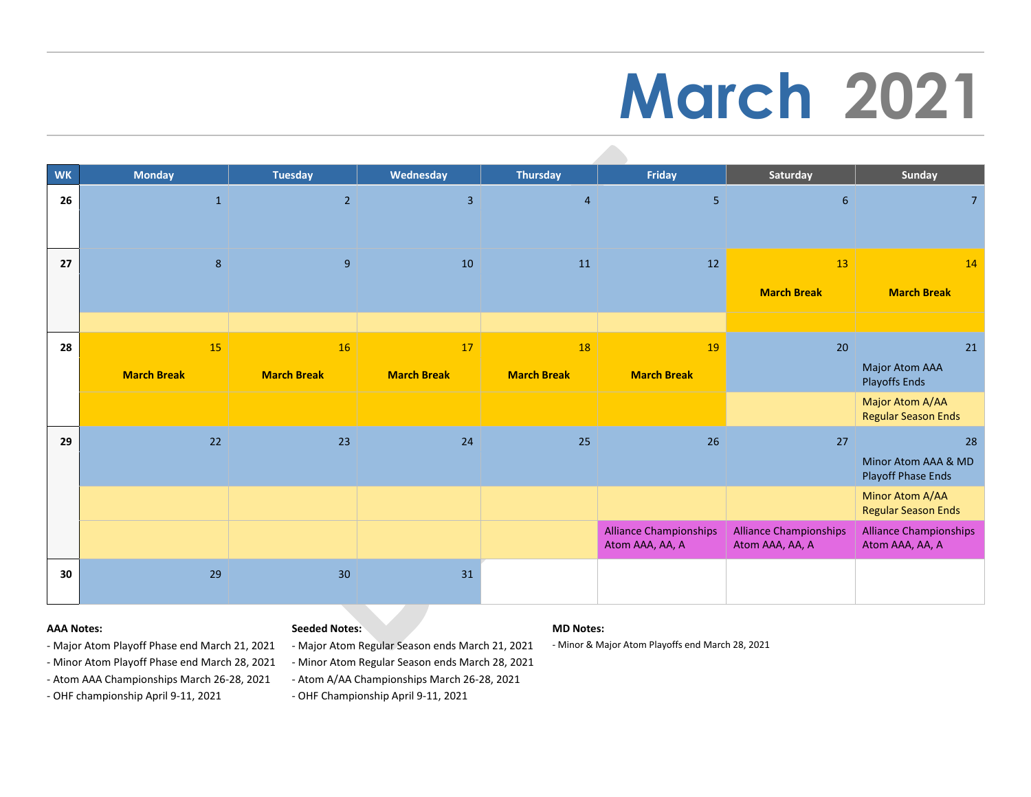# **March 2021**

| <b>WK</b> | <b>Monday</b>            | <b>Tuesday</b>           | Wednesday                | <b>Thursday</b>          | Friday                                           | Saturday                                         | Sunday                                           |
|-----------|--------------------------|--------------------------|--------------------------|--------------------------|--------------------------------------------------|--------------------------------------------------|--------------------------------------------------|
| 26        | $\mathbf{1}$             | $\overline{2}$           | $\overline{3}$           | $\overline{4}$           | 5 <sub>o</sub>                                   | 6                                                | 7 <sup>1</sup>                                   |
| 27        | 8                        | $9\,$                    | 10                       | 11                       | 12                                               | 13<br><b>March Break</b>                         | 14<br><b>March Break</b>                         |
| 28        | 15<br><b>March Break</b> | 16<br><b>March Break</b> | 17<br><b>March Break</b> | 18<br><b>March Break</b> | 19<br><b>March Break</b>                         | 20                                               | $21\,$<br>Major Atom AAA<br><b>Playoffs Ends</b> |
|           |                          |                          |                          |                          |                                                  |                                                  | Major Atom A/AA<br><b>Regular Season Ends</b>    |
| 29        | 22                       | 23                       | 24                       | 25                       | 26                                               | 27                                               | 28<br>Minor Atom AAA & MD<br>Playoff Phase Ends  |
|           |                          |                          |                          |                          |                                                  |                                                  | Minor Atom A/AA<br><b>Regular Season Ends</b>    |
|           |                          |                          |                          |                          | <b>Alliance Championships</b><br>Atom AAA, AA, A | <b>Alliance Championships</b><br>Atom AAA, AA, A | <b>Alliance Championships</b><br>Atom AAA, AA, A |
| 30        | 29                       | 30                       | 31                       |                          |                                                  |                                                  |                                                  |

### **AAA Notes:**

### **Seeded Notes:**

### - Major Atom Playoff Phase end March 21, 2021

- Minor Atom Playoff Phase end March 28, 2021

- Atom AAA Championships March 26-28, 2021

- OHF championship April 9-11, 2021

- Major Atom Regular Season ends March 21, 2021

- Minor Atom Regular Season ends March 28, 2021

- Atom A/AA Championships March 26-28, 2021

- OHF Championship April 9-11, 2021

### **MD Notes:**

- Minor & Major Atom Playoffs end March 28, 2021